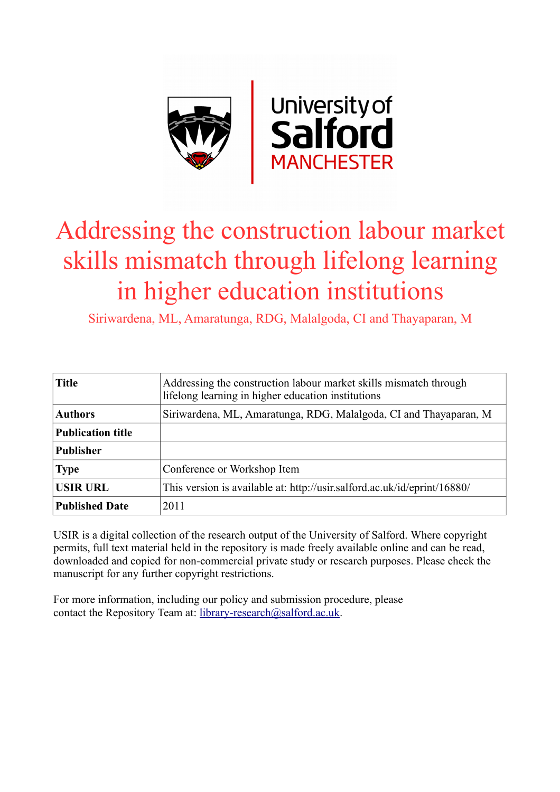

# Addressing the construction labour market skills mismatch through lifelong learning in higher education institutions

Siriwardena, ML, Amaratunga, RDG, Malalgoda, CI and Thayaparan, M

| <b>Title</b>             | Addressing the construction labour market skills mismatch through<br>lifelong learning in higher education institutions |
|--------------------------|-------------------------------------------------------------------------------------------------------------------------|
| <b>Authors</b>           | Siriwardena, ML, Amaratunga, RDG, Malalgoda, CI and Thayaparan, M                                                       |
| <b>Publication title</b> |                                                                                                                         |
| <b>Publisher</b>         |                                                                                                                         |
| <b>Type</b>              | Conference or Workshop Item                                                                                             |
| <b>USIR URL</b>          | This version is available at: http://usir.salford.ac.uk/id/eprint/16880/                                                |
| <b>Published Date</b>    | 2011                                                                                                                    |

USIR is a digital collection of the research output of the University of Salford. Where copyright permits, full text material held in the repository is made freely available online and can be read, downloaded and copied for non-commercial private study or research purposes. Please check the manuscript for any further copyright restrictions.

For more information, including our policy and submission procedure, please contact the Repository Team at: [library-research@salford.ac.uk.](mailto:library-research@salford.ac.uk)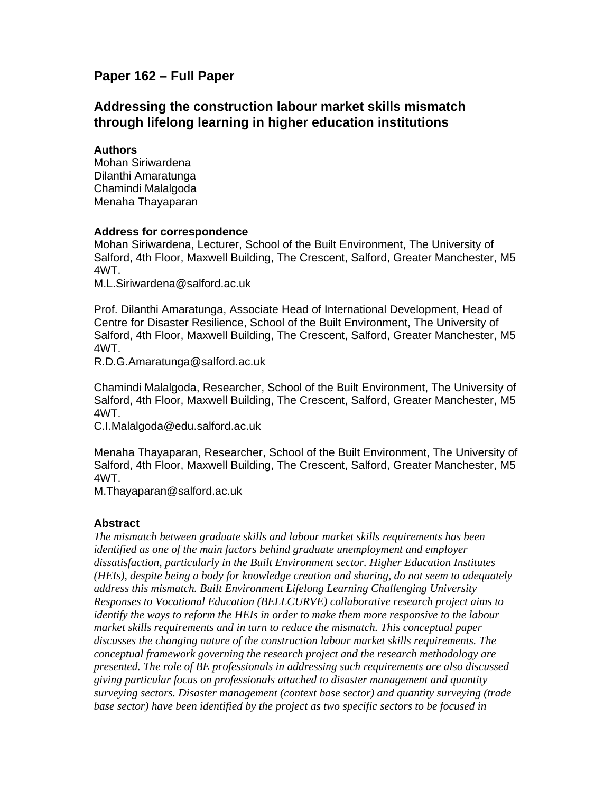## **Paper 162 – Full Paper**

## **Addressing the construction labour market skills mismatch through lifelong learning in higher education institutions**

#### **Authors**

Mohan Siriwardena Dilanthi Amaratunga Chamindi Malalgoda Menaha Thayaparan

#### **Address for correspondence**

Mohan Siriwardena, Lecturer, School of the Built Environment, The University of Salford, 4th Floor, Maxwell Building, The Crescent, Salford, Greater Manchester, M5 4WT.

M.L.Siriwardena@salford.ac.uk

Prof. Dilanthi Amaratunga, Associate Head of International Development, Head of Centre for Disaster Resilience, School of the Built Environment, The University of Salford, 4th Floor, Maxwell Building, The Crescent, Salford, Greater Manchester, M5 4WT.

R.D.G.Amaratunga@salford.ac.uk

Chamindi Malalgoda, Researcher, School of the Built Environment, The University of Salford, 4th Floor, Maxwell Building, The Crescent, Salford, Greater Manchester, M5 4WT.

C.I.Malalgoda@edu.salford.ac.uk

Menaha Thayaparan, Researcher, School of the Built Environment, The University of Salford, 4th Floor, Maxwell Building, The Crescent, Salford, Greater Manchester, M5 4WT.

M.Thayaparan@salford.ac.uk

#### **Abstract**

*The mismatch between graduate skills and labour market skills requirements has been identified as one of the main factors behind graduate unemployment and employer dissatisfaction, particularly in the Built Environment sector. Higher Education Institutes (HEIs), despite being a body for knowledge creation and sharing, do not seem to adequately address this mismatch. Built Environment Lifelong Learning Challenging University Responses to Vocational Education (BELLCURVE) collaborative research project aims to identify the ways to reform the HEIs in order to make them more responsive to the labour market skills requirements and in turn to reduce the mismatch. This conceptual paper discusses the changing nature of the construction labour market skills requirements. The conceptual framework governing the research project and the research methodology are presented. The role of BE professionals in addressing such requirements are also discussed giving particular focus on professionals attached to disaster management and quantity surveying sectors. Disaster management (context base sector) and quantity surveying (trade base sector) have been identified by the project as two specific sectors to be focused in*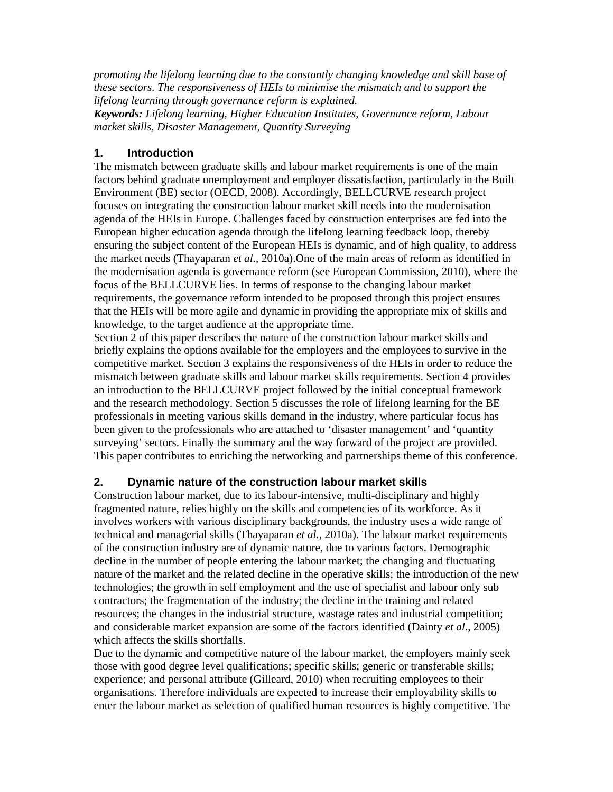*promoting the lifelong learning due to the constantly changing knowledge and skill base of these sectors. The responsiveness of HEIs to minimise the mismatch and to support the lifelong learning through governance reform is explained.* 

*Keywords: Lifelong learning, Higher Education Institutes, Governance reform, Labour market skills, Disaster Management, Quantity Surveying* 

#### **1. Introduction**

The mismatch between graduate skills and labour market requirements is one of the main factors behind graduate unemployment and employer dissatisfaction, particularly in the Built Environment (BE) sector (OECD, 2008). Accordingly, BELLCURVE research project focuses on integrating the construction labour market skill needs into the modernisation agenda of the HEIs in Europe. Challenges faced by construction enterprises are fed into the European higher education agenda through the lifelong learning feedback loop, thereby ensuring the subject content of the European HEIs is dynamic, and of high quality, to address the market needs (Thayaparan *et al.*, 2010a).One of the main areas of reform as identified in the modernisation agenda is governance reform (see European Commission, 2010), where the focus of the BELLCURVE lies. In terms of response to the changing labour market requirements, the governance reform intended to be proposed through this project ensures that the HEIs will be more agile and dynamic in providing the appropriate mix of skills and knowledge, to the target audience at the appropriate time.

Section 2 of this paper describes the nature of the construction labour market skills and briefly explains the options available for the employers and the employees to survive in the competitive market. Section 3 explains the responsiveness of the HEIs in order to reduce the mismatch between graduate skills and labour market skills requirements. Section 4 provides an introduction to the BELLCURVE project followed by the initial conceptual framework and the research methodology. Section 5 discusses the role of lifelong learning for the BE professionals in meeting various skills demand in the industry, where particular focus has been given to the professionals who are attached to 'disaster management' and 'quantity surveying' sectors. Finally the summary and the way forward of the project are provided. This paper contributes to enriching the networking and partnerships theme of this conference.

#### **2. Dynamic nature of the construction labour market skills**

Construction labour market, due to its labour-intensive, multi-disciplinary and highly fragmented nature, relies highly on the skills and competencies of its workforce. As it involves workers with various disciplinary backgrounds, the industry uses a wide range of technical and managerial skills (Thayaparan *et al.*, 2010a). The labour market requirements of the construction industry are of dynamic nature, due to various factors. Demographic decline in the number of people entering the labour market; the changing and fluctuating nature of the market and the related decline in the operative skills; the introduction of the new technologies; the growth in self employment and the use of specialist and labour only sub contractors; the fragmentation of the industry; the decline in the training and related resources; the changes in the industrial structure, wastage rates and industrial competition; and considerable market expansion are some of the factors identified (Dainty *et al*., 2005) which affects the skills shortfalls.

Due to the dynamic and competitive nature of the labour market, the employers mainly seek those with good degree level qualifications; specific skills; generic or transferable skills; experience; and personal attribute (Gilleard, 2010) when recruiting employees to their organisations. Therefore individuals are expected to increase their employability skills to enter the labour market as selection of qualified human resources is highly competitive. The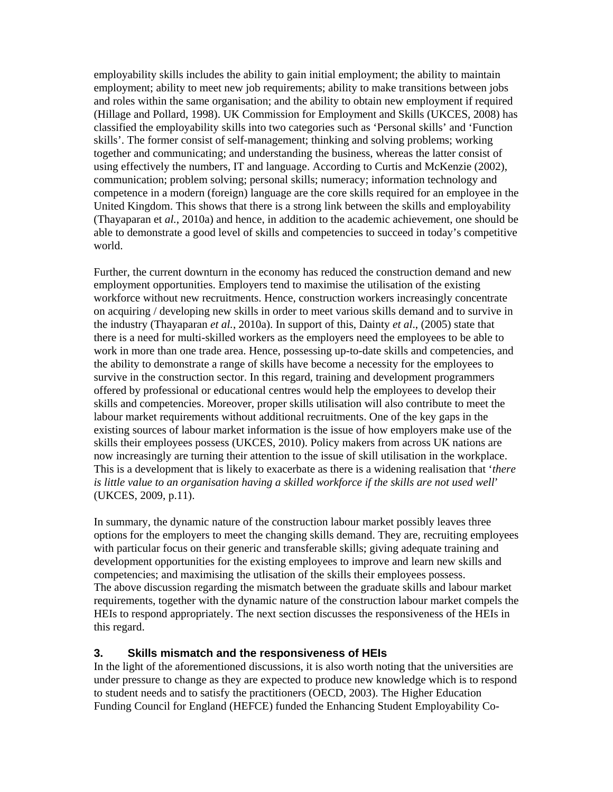employability skills includes the ability to gain initial employment; the ability to maintain employment; ability to meet new job requirements; ability to make transitions between jobs and roles within the same organisation; and the ability to obtain new employment if required (Hillage and Pollard, 1998). UK Commission for Employment and Skills (UKCES, 2008) has classified the employability skills into two categories such as 'Personal skills' and 'Function skills'. The former consist of self-management; thinking and solving problems; working together and communicating; and understanding the business, whereas the latter consist of using effectively the numbers, IT and language. According to Curtis and McKenzie (2002), communication; problem solving; personal skills; numeracy; information technology and competence in a modern (foreign) language are the core skills required for an employee in the United Kingdom. This shows that there is a strong link between the skills and employability (Thayaparan et *al.*, 2010a) and hence, in addition to the academic achievement, one should be able to demonstrate a good level of skills and competencies to succeed in today's competitive world.

Further, the current downturn in the economy has reduced the construction demand and new employment opportunities. Employers tend to maximise the utilisation of the existing workforce without new recruitments. Hence, construction workers increasingly concentrate on acquiring / developing new skills in order to meet various skills demand and to survive in the industry (Thayaparan *et al.*, 2010a). In support of this, Dainty *et al*., (2005) state that there is a need for multi-skilled workers as the employers need the employees to be able to work in more than one trade area. Hence, possessing up-to-date skills and competencies, and the ability to demonstrate a range of skills have become a necessity for the employees to survive in the construction sector. In this regard, training and development programmers offered by professional or educational centres would help the employees to develop their skills and competencies. Moreover, proper skills utilisation will also contribute to meet the labour market requirements without additional recruitments. One of the key gaps in the existing sources of labour market information is the issue of how employers make use of the skills their employees possess (UKCES, 2010). Policy makers from across UK nations are now increasingly are turning their attention to the issue of skill utilisation in the workplace. This is a development that is likely to exacerbate as there is a widening realisation that '*there is little value to an organisation having a skilled workforce if the skills are not used well*' (UKCES, 2009, p.11).

In summary, the dynamic nature of the construction labour market possibly leaves three options for the employers to meet the changing skills demand. They are, recruiting employees with particular focus on their generic and transferable skills; giving adequate training and development opportunities for the existing employees to improve and learn new skills and competencies; and maximising the utlisation of the skills their employees possess. The above discussion regarding the mismatch between the graduate skills and labour market requirements, together with the dynamic nature of the construction labour market compels the HEIs to respond appropriately. The next section discusses the responsiveness of the HEIs in this regard.

#### **3. Skills mismatch and the responsiveness of HEIs**

In the light of the aforementioned discussions, it is also worth noting that the universities are under pressure to change as they are expected to produce new knowledge which is to respond to student needs and to satisfy the practitioners (OECD, 2003). The Higher Education Funding Council for England (HEFCE) funded the Enhancing Student Employability Co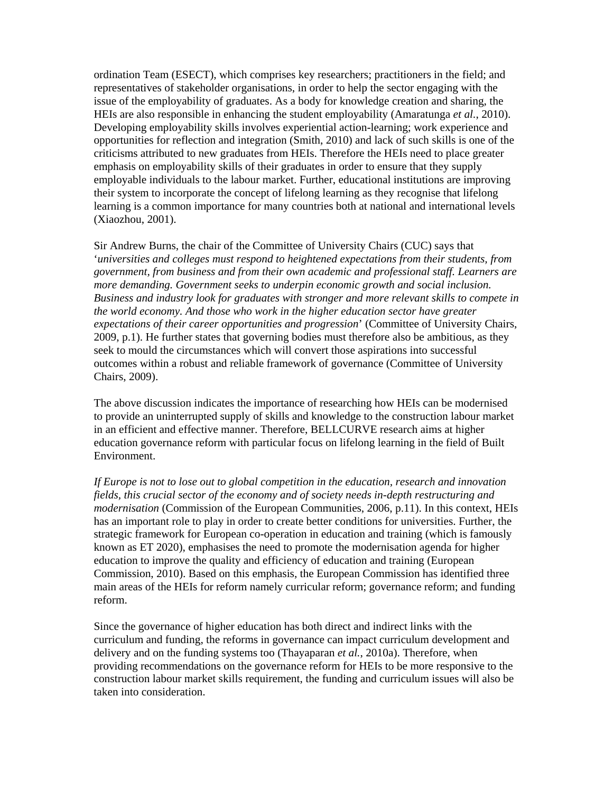ordination Team (ESECT), which comprises key researchers; practitioners in the field; and representatives of stakeholder organisations, in order to help the sector engaging with the issue of the employability of graduates. As a body for knowledge creation and sharing, the HEIs are also responsible in enhancing the student employability (Amaratunga *et al.*, 2010). Developing employability skills involves experiential action-learning; work experience and opportunities for reflection and integration (Smith, 2010) and lack of such skills is one of the criticisms attributed to new graduates from HEIs. Therefore the HEIs need to place greater emphasis on employability skills of their graduates in order to ensure that they supply employable individuals to the labour market. Further, educational institutions are improving their system to incorporate the concept of lifelong learning as they recognise that lifelong learning is a common importance for many countries both at national and international levels (Xiaozhou, 2001).

Sir Andrew Burns, the chair of the Committee of University Chairs (CUC) says that '*universities and colleges must respond to heightened expectations from their students, from government, from business and from their own academic and professional staff. Learners are more demanding. Government seeks to underpin economic growth and social inclusion. Business and industry look for graduates with stronger and more relevant skills to compete in the world economy. And those who work in the higher education sector have greater expectations of their career opportunities and progression*' (Committee of University Chairs, 2009, p.1). He further states that governing bodies must therefore also be ambitious, as they seek to mould the circumstances which will convert those aspirations into successful outcomes within a robust and reliable framework of governance (Committee of University Chairs, 2009).

The above discussion indicates the importance of researching how HEIs can be modernised to provide an uninterrupted supply of skills and knowledge to the construction labour market in an efficient and effective manner. Therefore, BELLCURVE research aims at higher education governance reform with particular focus on lifelong learning in the field of Built Environment.

*If Europe is not to lose out to global competition in the education, research and innovation fields, this crucial sector of the economy and of society needs in-depth restructuring and modernisation* (Commission of the European Communities, 2006, p.11). In this context, HEIs has an important role to play in order to create better conditions for universities. Further, the strategic framework for European co-operation in education and training (which is famously known as ET 2020), emphasises the need to promote the modernisation agenda for higher education to improve the quality and efficiency of education and training (European Commission, 2010). Based on this emphasis, the European Commission has identified three main areas of the HEIs for reform namely curricular reform; governance reform; and funding reform.

Since the governance of higher education has both direct and indirect links with the curriculum and funding, the reforms in governance can impact curriculum development and delivery and on the funding systems too (Thayaparan *et al.*, 2010a). Therefore, when providing recommendations on the governance reform for HEIs to be more responsive to the construction labour market skills requirement, the funding and curriculum issues will also be taken into consideration.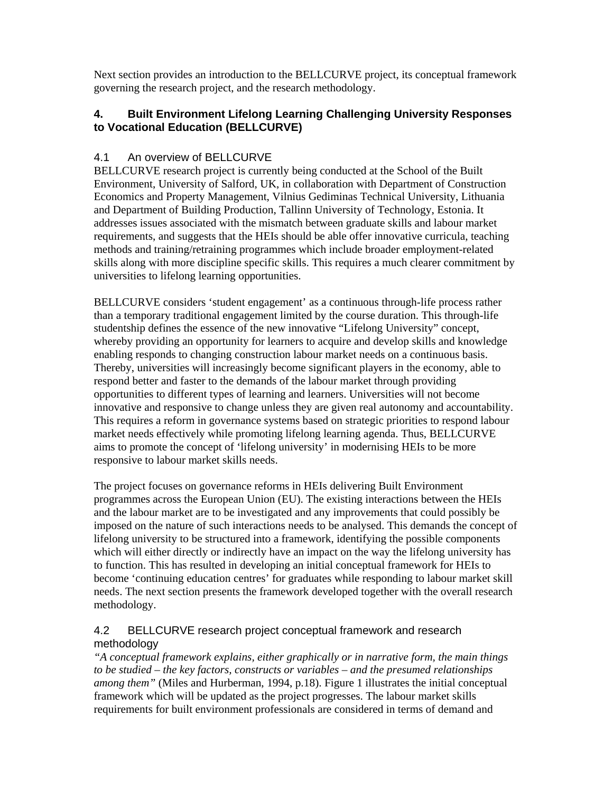Next section provides an introduction to the BELLCURVE project, its conceptual framework governing the research project, and the research methodology.

## **4. Built Environment Lifelong Learning Challenging University Responses to Vocational Education (BELLCURVE)**

## 4.1 An overview of BELLCURVE

BELLCURVE research project is currently being conducted at the School of the Built Environment, University of Salford, UK, in collaboration with Department of Construction Economics and Property Management, Vilnius Gediminas Technical University, Lithuania and Department of Building Production, Tallinn University of Technology, Estonia. It addresses issues associated with the mismatch between graduate skills and labour market requirements, and suggests that the HEIs should be able offer innovative curricula, teaching methods and training/retraining programmes which include broader employment-related skills along with more discipline specific skills. This requires a much clearer commitment by universities to lifelong learning opportunities.

BELLCURVE considers 'student engagement' as a continuous through-life process rather than a temporary traditional engagement limited by the course duration. This through-life studentship defines the essence of the new innovative "Lifelong University" concept, whereby providing an opportunity for learners to acquire and develop skills and knowledge enabling responds to changing construction labour market needs on a continuous basis. Thereby, universities will increasingly become significant players in the economy, able to respond better and faster to the demands of the labour market through providing opportunities to different types of learning and learners. Universities will not become innovative and responsive to change unless they are given real autonomy and accountability. This requires a reform in governance systems based on strategic priorities to respond labour market needs effectively while promoting lifelong learning agenda. Thus, BELLCURVE aims to promote the concept of 'lifelong university' in modernising HEIs to be more responsive to labour market skills needs.

The project focuses on governance reforms in HEIs delivering Built Environment programmes across the European Union (EU). The existing interactions between the HEIs and the labour market are to be investigated and any improvements that could possibly be imposed on the nature of such interactions needs to be analysed. This demands the concept of lifelong university to be structured into a framework, identifying the possible components which will either directly or indirectly have an impact on the way the lifelong university has to function. This has resulted in developing an initial conceptual framework for HEIs to become 'continuing education centres' for graduates while responding to labour market skill needs. The next section presents the framework developed together with the overall research methodology.

## 4.2 BELLCURVE research project conceptual framework and research methodology

*"A conceptual framework explains, either graphically or in narrative form, the main things to be studied – the key factors, constructs or variables – and the presumed relationships among them"* (Miles and Hurberman, 1994, p.18). Figure 1 illustrates the initial conceptual framework which will be updated as the project progresses. The labour market skills requirements for built environment professionals are considered in terms of demand and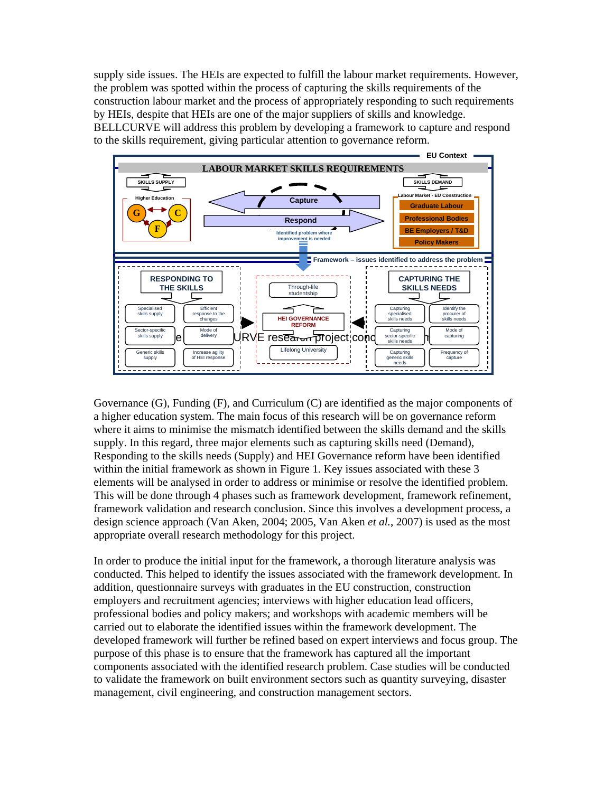supply side issues. The HEIs are expected to fulfill the labour market requirements. However, the problem was spotted within the process of capturing the skills requirements of the construction labour market and the process of appropriately responding to such requirements by HEIs, despite that HEIs are one of the major suppliers of skills and knowledge. BELLCURVE will address this problem by developing a framework to capture and respond to the skills requirement, giving particular attention to governance reform.



Governance (G), Funding (F), and Curriculum (C) are identified as the major components of a higher education system. The main focus of this research will be on governance reform where it aims to minimise the mismatch identified between the skills demand and the skills supply. In this regard, three major elements such as capturing skills need (Demand), Responding to the skills needs (Supply) and HEI Governance reform have been identified within the initial framework as shown in Figure 1. Key issues associated with these 3 elements will be analysed in order to address or minimise or resolve the identified problem. This will be done through 4 phases such as framework development, framework refinement, framework validation and research conclusion. Since this involves a development process, a design science approach (Van Aken, 2004; 2005, Van Aken *et al.*, 2007) is used as the most appropriate overall research methodology for this project.

In order to produce the initial input for the framework, a thorough literature analysis was conducted. This helped to identify the issues associated with the framework development. In addition, questionnaire surveys with graduates in the EU construction, construction employers and recruitment agencies; interviews with higher education lead officers, professional bodies and policy makers; and workshops with academic members will be carried out to elaborate the identified issues within the framework development. The developed framework will further be refined based on expert interviews and focus group. The purpose of this phase is to ensure that the framework has captured all the important components associated with the identified research problem. Case studies will be conducted to validate the framework on built environment sectors such as quantity surveying, disaster management, civil engineering, and construction management sectors.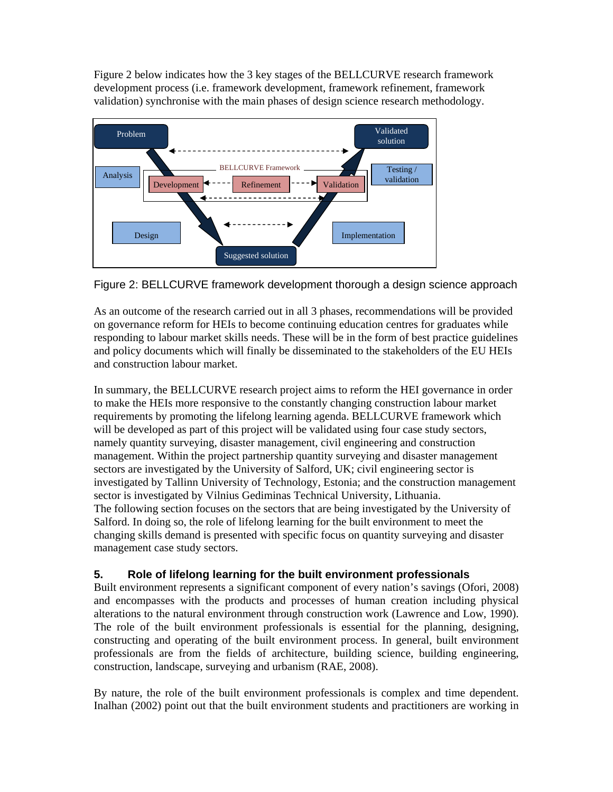Figure 2 below indicates how the 3 key stages of the BELLCURVE research framework development process (i.e. framework development, framework refinement, framework validation) synchronise with the main phases of design science research methodology.





As an outcome of the research carried out in all 3 phases, recommendations will be provided on governance reform for HEIs to become continuing education centres for graduates while responding to labour market skills needs. These will be in the form of best practice guidelines and policy documents which will finally be disseminated to the stakeholders of the EU HEIs and construction labour market.

In summary, the BELLCURVE research project aims to reform the HEI governance in order to make the HEIs more responsive to the constantly changing construction labour market requirements by promoting the lifelong learning agenda. BELLCURVE framework which will be developed as part of this project will be validated using four case study sectors, namely quantity surveying, disaster management, civil engineering and construction management. Within the project partnership quantity surveying and disaster management sectors are investigated by the University of Salford, UK; civil engineering sector is investigated by Tallinn University of Technology, Estonia; and the construction management sector is investigated by Vilnius Gediminas Technical University, Lithuania. The following section focuses on the sectors that are being investigated by the University of Salford. In doing so, the role of lifelong learning for the built environment to meet the changing skills demand is presented with specific focus on quantity surveying and disaster management case study sectors.

## **5. Role of lifelong learning for the built environment professionals**

Built environment represents a significant component of every nation's savings (Ofori, 2008) and encompasses with the products and processes of human creation including physical alterations to the natural environment through construction work (Lawrence and Low, 1990). The role of the built environment professionals is essential for the planning, designing, constructing and operating of the built environment process. In general, built environment professionals are from the fields of architecture, building science, building engineering, construction, landscape, surveying and urbanism (RAE, 2008).

By nature, the role of the built environment professionals is complex and time dependent. Inalhan (2002) point out that the built environment students and practitioners are working in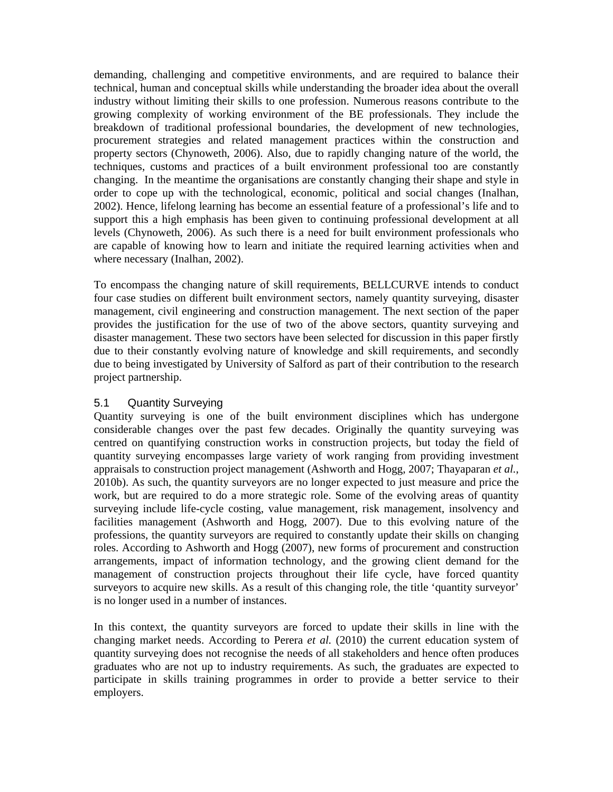demanding, challenging and competitive environments, and are required to balance their technical, human and conceptual skills while understanding the broader idea about the overall industry without limiting their skills to one profession. Numerous reasons contribute to the growing complexity of working environment of the BE professionals. They include the breakdown of traditional professional boundaries, the development of new technologies, procurement strategies and related management practices within the construction and property sectors (Chynoweth, 2006). Also, due to rapidly changing nature of the world, the techniques, customs and practices of a built environment professional too are constantly changing. In the meantime the organisations are constantly changing their shape and style in order to cope up with the technological, economic, political and social changes (Inalhan, 2002). Hence, lifelong learning has become an essential feature of a professional's life and to support this a high emphasis has been given to continuing professional development at all levels (Chynoweth, 2006). As such there is a need for built environment professionals who are capable of knowing how to learn and initiate the required learning activities when and where necessary (Inalhan, 2002).

To encompass the changing nature of skill requirements, BELLCURVE intends to conduct four case studies on different built environment sectors, namely quantity surveying, disaster management, civil engineering and construction management. The next section of the paper provides the justification for the use of two of the above sectors, quantity surveying and disaster management. These two sectors have been selected for discussion in this paper firstly due to their constantly evolving nature of knowledge and skill requirements, and secondly due to being investigated by University of Salford as part of their contribution to the research project partnership.

#### 5.1 Quantity Surveying

Quantity surveying is one of the built environment disciplines which has undergone considerable changes over the past few decades. Originally the quantity surveying was centred on quantifying construction works in construction projects, but today the field of quantity surveying encompasses large variety of work ranging from providing investment appraisals to construction project management (Ashworth and Hogg, 2007; Thayaparan *et al.*, 2010b). As such, the quantity surveyors are no longer expected to just measure and price the work, but are required to do a more strategic role. Some of the evolving areas of quantity surveying include life-cycle costing, value management, risk management, insolvency and facilities management (Ashworth and Hogg, 2007). Due to this evolving nature of the professions, the quantity surveyors are required to constantly update their skills on changing roles. According to Ashworth and Hogg (2007), new forms of procurement and construction arrangements, impact of information technology, and the growing client demand for the management of construction projects throughout their life cycle, have forced quantity surveyors to acquire new skills. As a result of this changing role, the title 'quantity surveyor' is no longer used in a number of instances.

In this context, the quantity surveyors are forced to update their skills in line with the changing market needs. According to Perera *et al.* (2010) the current education system of quantity surveying does not recognise the needs of all stakeholders and hence often produces graduates who are not up to industry requirements. As such, the graduates are expected to participate in skills training programmes in order to provide a better service to their employers.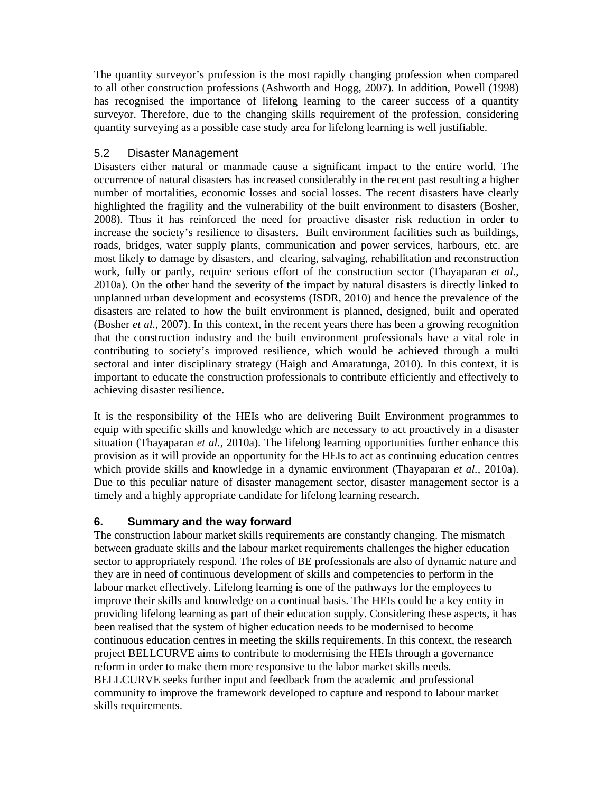The quantity surveyor's profession is the most rapidly changing profession when compared to all other construction professions (Ashworth and Hogg, 2007). In addition, Powell (1998) has recognised the importance of lifelong learning to the career success of a quantity surveyor. Therefore, due to the changing skills requirement of the profession, considering quantity surveying as a possible case study area for lifelong learning is well justifiable.

#### 5.2 Disaster Management

Disasters either natural or manmade cause a significant impact to the entire world. The occurrence of natural disasters has increased considerably in the recent past resulting a higher number of mortalities, economic losses and social losses. The recent disasters have clearly highlighted the fragility and the vulnerability of the built environment to disasters (Bosher, 2008). Thus it has reinforced the need for proactive disaster risk reduction in order to increase the society's resilience to disasters. Built environment facilities such as buildings, roads, bridges, water supply plants, communication and power services, harbours, etc. are most likely to damage by disasters, and clearing, salvaging, rehabilitation and reconstruction work, fully or partly, require serious effort of the construction sector (Thayaparan *et al.*, 2010a). On the other hand the severity of the impact by natural disasters is directly linked to unplanned urban development and ecosystems (ISDR, 2010) and hence the prevalence of the disasters are related to how the built environment is planned, designed, built and operated (Bosher *et al.*, 2007). In this context, in the recent years there has been a growing recognition that the construction industry and the built environment professionals have a vital role in contributing to society's improved resilience, which would be achieved through a multi sectoral and inter disciplinary strategy (Haigh and Amaratunga, 2010). In this context, it is important to educate the construction professionals to contribute efficiently and effectively to achieving disaster resilience.

It is the responsibility of the HEIs who are delivering Built Environment programmes to equip with specific skills and knowledge which are necessary to act proactively in a disaster situation (Thayaparan *et al.*, 2010a). The lifelong learning opportunities further enhance this provision as it will provide an opportunity for the HEIs to act as continuing education centres which provide skills and knowledge in a dynamic environment (Thayaparan *et al.*, 2010a). Due to this peculiar nature of disaster management sector, disaster management sector is a timely and a highly appropriate candidate for lifelong learning research.

## **6. Summary and the way forward**

The construction labour market skills requirements are constantly changing. The mismatch between graduate skills and the labour market requirements challenges the higher education sector to appropriately respond. The roles of BE professionals are also of dynamic nature and they are in need of continuous development of skills and competencies to perform in the labour market effectively. Lifelong learning is one of the pathways for the employees to improve their skills and knowledge on a continual basis. The HEIs could be a key entity in providing lifelong learning as part of their education supply. Considering these aspects, it has been realised that the system of higher education needs to be modernised to become continuous education centres in meeting the skills requirements. In this context, the research project BELLCURVE aims to contribute to modernising the HEIs through a governance reform in order to make them more responsive to the labor market skills needs. BELLCURVE seeks further input and feedback from the academic and professional community to improve the framework developed to capture and respond to labour market skills requirements.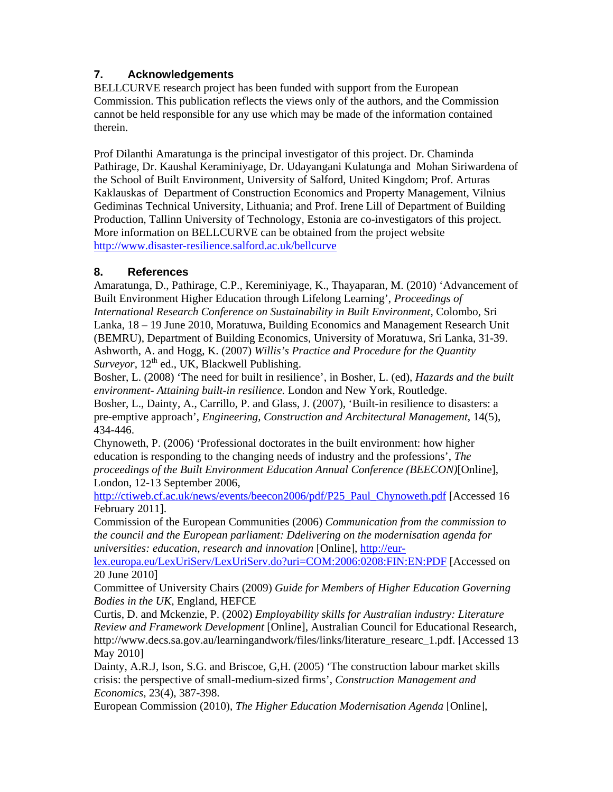## **7. Acknowledgements**

BELLCURVE research project has been funded with support from the European Commission. This publication reflects the views only of the authors, and the Commission cannot be held responsible for any use which may be made of the information contained therein.

Prof Dilanthi Amaratunga is the principal investigator of this project. Dr. Chaminda Pathirage, Dr. Kaushal Keraminiyage, Dr. Udayangani Kulatunga and Mohan Siriwardena of the School of Built Environment, University of Salford, United Kingdom; Prof. Arturas Kaklauskas of Department of Construction Economics and Property Management, Vilnius Gediminas Technical University, Lithuania; and Prof. Irene Lill of Department of Building Production, Tallinn University of Technology, Estonia are co-investigators of this project. More information on BELLCURVE can be obtained from the project website http://www.disaster-resilience.salford.ac.uk/bellcurve

## **8. References**

Amaratunga, D., Pathirage, C.P., Kereminiyage, K., Thayaparan, M. (2010) 'Advancement of Built Environment Higher Education through Lifelong Learning', *Proceedings of International Research Conference on Sustainability in Built Environment*, Colombo, Sri Lanka, 18 – 19 June 2010, Moratuwa, Building Economics and Management Research Unit (BEMRU), Department of Building Economics, University of Moratuwa, Sri Lanka, 31-39. Ashworth, A. and Hogg, K. (2007) *Willis's Practice and Procedure for the Quantity*   $Survevor$ ,  $12<sup>th</sup>$  ed., UK, Blackwell Publishing.

Bosher, L. (2008) 'The need for built in resilience', in Bosher, L. (ed), *Hazards and the built environment- Attaining built-in resilience.* London and New York, Routledge.

Bosher, L., Dainty, A., Carrillo, P. and Glass, J. (2007), 'Built-in resilience to disasters: a pre-emptive approach', *Engineering, Construction and Architectural Management*, 14(5), 434-446.

Chynoweth, P. (2006) 'Professional doctorates in the built environment: how higher education is responding to the changing needs of industry and the professions', *The proceedings of the Built Environment Education Annual Conference (BEECON)*[Online], London, 12-13 September 2006,

http://ctiweb.cf.ac.uk/news/events/beecon2006/pdf/P25\_Paul\_Chynoweth.pdf [Accessed 16 February 2011].

Commission of the European Communities (2006) *Communication from the commission to the council and the European parliament: Ddelivering on the modernisation agenda for universities: education, research and innovation* [Online], http://eur-

lex.europa.eu/LexUriServ/LexUriServ.do?uri=COM:2006:0208:FIN:EN:PDF [Accessed on 20 June 2010]

Committee of University Chairs (2009) *Guide for Members of Higher Education Governing Bodies in the UK*, England, HEFCE

Curtis, D. and Mckenzie, P. (2002) *Employability skills for Australian industry: Literature Review and Framework Development* [Online], Australian Council for Educational Research, http://www.decs.sa.gov.au/learningandwork/files/links/literature\_researc\_1.pdf. [Accessed 13 May 2010]

Dainty, A.R.J, Ison, S.G. and Briscoe, G,H. (2005) 'The construction labour market skills crisis: the perspective of small-medium-sized firms', *Construction Management and Economics*, 23(4), 387-398.

European Commission (2010), *The Higher Education Modernisation Agenda* [Online],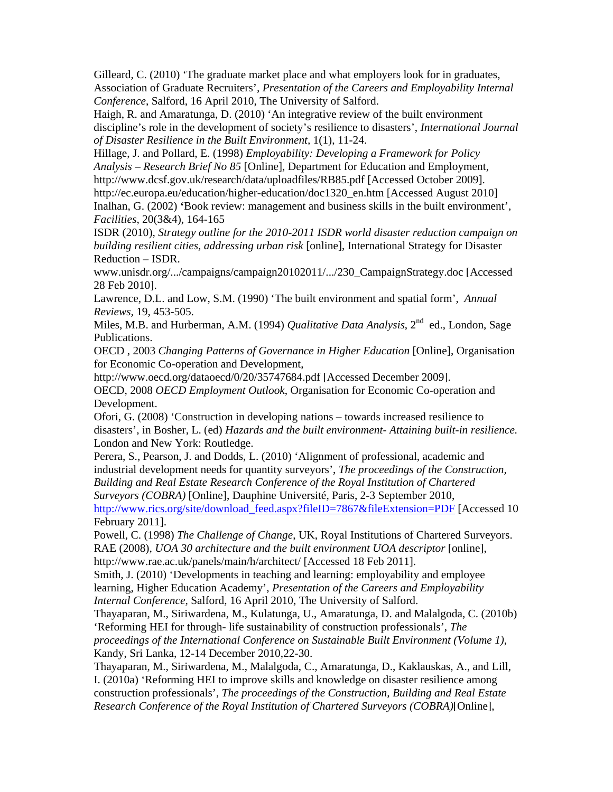Gilleard, C. (2010) 'The graduate market place and what employers look for in graduates, Association of Graduate Recruiters'*, Presentation of the Careers and Employability Internal Conference*, Salford, 16 April 2010, The University of Salford.

Haigh, R. and Amaratunga, D. (2010) 'An integrative review of the built environment discipline's role in the development of society's resilience to disasters', *International Journal of Disaster Resilience in the Built Environment,* 1(1), 11-24.

Hillage, J. and Pollard, E. (1998) *Employability: Developing a Framework for Policy Analysis – Research Brief No 85* [Online], Department for Education and Employment, http://www.dcsf.gov.uk/research/data/uploadfiles/RB85.pdf [Accessed October 2009]. http://ec.europa.eu/education/higher-education/doc1320\_en.htm [Accessed August 2010] Inalhan, G. (2002) **'**Book review: management and business skills in the built environment', *Facilities*, 20(3&4), 164-165

ISDR (2010), *Strategy outline for the 2010-2011 ISDR world disaster reduction campaign on building resilient cities, addressing urban risk* [online], International Strategy for Disaster Reduction – ISDR.

www.unisdr.org/.../campaigns/campaign20102011/.../230\_CampaignStrategy.doc [Accessed 28 Feb 2010].

Lawrence, D.L. and Low, S.M. (1990) 'The built environment and spatial form', *Annual Reviews,* 19, 453-505.

Miles, M.B. and Hurberman, A.M. (1994) *Qualitative Data Analysis*, 2<sup>nd</sup> ed., London, Sage Publications.

OECD , 2003 *Changing Patterns of Governance in Higher Education* [Online], Organisation for Economic Co-operation and Development,

http://www.oecd.org/dataoecd/0/20/35747684.pdf [Accessed December 2009].

OECD, 2008 *OECD Employment Outlook*, Organisation for Economic Co-operation and Development.

Ofori, G. (2008) 'Construction in developing nations – towards increased resilience to disasters', in Bosher, L. (ed) *Hazards and the built environment- Attaining built-in resilience.*  London and New York: Routledge.

Perera, S., Pearson, J. and Dodds, L. (2010) 'Alignment of professional, academic and industrial development needs for quantity surveyors', *The proceedings of the Construction, Building and Real Estate Research Conference of the Royal Institution of Chartered Surveyors (COBRA)* [Online], Dauphine Université, Paris, 2-3 September 2010, http://www.rics.org/site/download\_feed.aspx?fileID=7867&fileExtension=PDF [Accessed 10 February 2011].

Powell, C. (1998) *The Challenge of Change*, UK, Royal Institutions of Chartered Surveyors. RAE (2008), *UOA 30 architecture and the built environment UOA descriptor* [online], http://www.rae.ac.uk/panels/main/h/architect/ [Accessed 18 Feb 2011].

Smith, J. (2010) 'Developments in teaching and learning: employability and employee learning, Higher Education Academy', *Presentation of the Careers and Employability Internal Conference*, Salford, 16 April 2010, The University of Salford.

Thayaparan, M., Siriwardena, M., Kulatunga, U., Amaratunga, D. and Malalgoda, C. (2010b) 'Reforming HEI for through- life sustainability of construction professionals', *The proceedings of the International Conference on Sustainable Built Environment (Volume 1)*, Kandy, Sri Lanka, 12-14 December 2010,22-30.

Thayaparan, M., Siriwardena, M., Malalgoda, C., Amaratunga, D., Kaklauskas, A., and Lill, I. (2010a) 'Reforming HEI to improve skills and knowledge on disaster resilience among construction professionals', *The proceedings of the Construction, Building and Real Estate Research Conference of the Royal Institution of Chartered Surveyors (COBRA)*[Online],